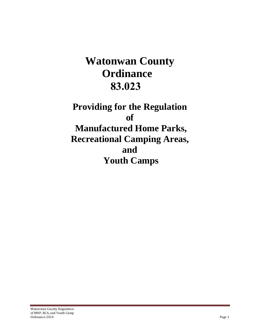# **Watonwan County Ordinance 83.023**

**Providing for the Regulation of Manufactured Home Parks, Recreational Camping Areas, and Youth Camps**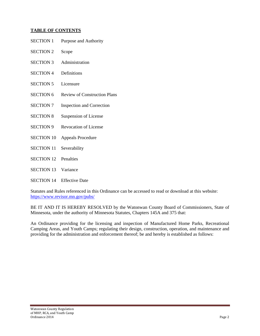## **TABLE OF CONTENTS**

| <b>SECTION 1</b>  | Purpose and Authority               |
|-------------------|-------------------------------------|
| <b>SECTION 2</b>  | Scope                               |
| <b>SECTION 3</b>  | Administration                      |
| <b>SECTION 4</b>  | Definitions                         |
| <b>SECTION 5</b>  | Licensure                           |
| <b>SECTION 6</b>  | <b>Review of Construction Plans</b> |
| <b>SECTION 7</b>  | <b>Inspection and Correction</b>    |
| <b>SECTION 8</b>  | <b>Suspension of License</b>        |
| <b>SECTION 9</b>  | Revocation of License               |
| <b>SECTION 10</b> | <b>Appeals Procedure</b>            |
| <b>SECTION 11</b> | Severability                        |
| <b>SECTION 12</b> | Penalties                           |
| <b>SECTION 13</b> | Variance                            |
|                   |                                     |

SECTION 14 Effective Date

Statutes and Rules referenced in this Ordinance can be accessed to read or download at this website: https://www.revisor.mn.gov/pubs/

BE IT AND IT IS HEREBY RESOLVED by the Watonwan County Board of Commissioners, State of Minnesota, under the authority of Minnesota Statutes, Chapters 145A and 375 that:

An Ordinance providing for the licensing and inspection of Manufactured Home Parks, Recreational Camping Areas, and Youth Camps; regulating their design, construction, operation, and maintenance and providing for the administration and enforcement thereof; be and hereby is established as follows: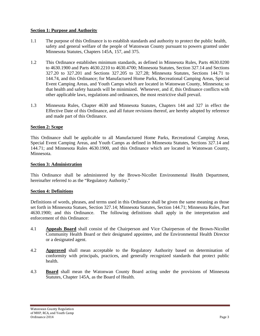## **Section 1: Purpose and Authority**

- 1.1 The purpose of this Ordinance is to establish standards and authority to protect the public health, safety and general welfare of the people of Watonwan County pursuant to powers granted under Minnesota Statutes, Chapters 145A, 157, and 375.
- 1.2This Ordinance establishes minimum standards, as defined in Minnesota Rules, Parts 4630.0200 to 4630.1900 and Parts 4630.2210 to 4630.4700; Minnesota Statutes, Section 327.14 and Sections 327.20 to 327.201 and Sections 327.205 to 327.28; Minnesota Statutes, Sections 144.71 to 144.74, and this Ordinance; for Manufactured Home Parks, Recreational Camping Areas, Special Event Camping Areas, and Youth Camps which are located in Watonwan County, Minnesota; so that health and safety hazards will be minimized. Whenever, and if, this Ordinance conflicts with other applicable laws, regulations and ordinances, the most restrictive shall prevail.
- 1.3 Minnesota Rules, Chapter 4630 and Minnesota Statutes, Chapters 144 and 327 in effect the Effective Date of this Ordinance, and all future revisions thereof, are hereby adopted by reference and made part of this Ordinance.

## **Section 2: Scope**

This Ordinance shall be applicable to all Manufactured Home Parks, Recreational Camping Areas, Special Event Camping Areas, and Youth Camps as defined in Minnesota Statutes, Sections 327.14 and 144.71; and Minnesota Rules 4630.1900, and this Ordinance which are located in Watonwan County, Minnesota.

## **Section 3: Administration**

This Ordinance shall be administered by the Brown-Nicollet Environmental Health Department, hereinafter referred to as the "Regulatory Authority."

## **Section 4: Definitions**

Definitions of words, phrases, and terms used in this Ordinance shall be given the same meaning as those set forth in Minnesota Statues, Section 327.14; Minnesota Statutes, Section 144.71; Minnesota Rules, Part 4630.1900; and this Ordinance. The following definitions shall apply in the interpretation and enforcement of this Ordinance:

- 4.1 **Appeals Board** shall consist of the Chairperson and Vice Chairperson of the Brown-Nicollet Community Health Board or their designated appointee, and the Environmental Health Director or a designated agent.
- 4.2 **Approved** shall mean acceptable to the Regulatory Authority based on determination of conformity with principals, practices, and generally recognized standards that protect public health.
- 4.3 **Board** shall mean the Watonwan County Board acting under the provisions of Minnesota Statutes, Chapter 145A, as the Board of Health.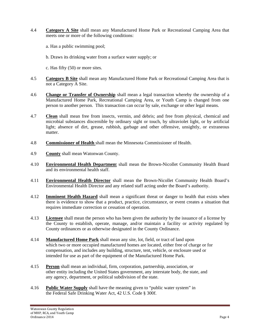4.4 **Category A Site** shall mean any Manufactured Home Park or Recreational Camping Area that meets one or more of the following conditions:

a. Has a public swimming pool;

b. Draws its drinking water from a surface water supply; or

c. Has fifty (50) or more sites.

- 4.5 **Category B Site** shall mean any Manufactured Home Park or Recreational Camping Area that is not a Category A Site.
- 4.6 **Change or Transfer of Ownership** shall mean a legal transaction whereby the ownership of a Manufactured Home Park, Recreational Camping Area, or Youth Camp is changed from one person to another person. This transaction can occur by sale, exchange or other legal means.
- 4.7 **Clean** shall mean free from insects, vermin, and debris; and free from physical, chemical and microbial substances discernible by ordinary sight or touch, by ultraviolet light, or by artificial light; absence of dirt, grease, rubbish, garbage and other offensive, unsightly, or extraneous matter.
- 4.8 **Commissioner of Health** shall mean the Minnesota Commissioner of Health.
- 4.9 **County** shall mean Watonwan County.
- 4.10 **Environmental Health Departmen**t shall mean the Brown-Nicollet Community Health Board and its environmental health staff.
- 4.11 **Environmental Health Director** shall mean the Brown-Nicollet Community Health Board's Environmental Health Director and any related staff acting under the Board's authority.
- 4.12 **Imminent Health Hazard** shall mean a significant threat or danger to health that exists when there is evidence to show that a product, practice, circumstance, or event creates a situation that requires immediate correction or cessation of operation.
- 4.13 **Licensee** shall mean the person who has been given the authority by the issuance of a license by the County to establish, operate, manage, and/or maintain a facility or activity regulated by County ordinances or as otherwise designated in the County Ordinance.
- 4.14 **Manufactured Home Park** shall mean any site, lot, field, or tract of land upon which two or more occupied manufactured homes are located, either free of charge or for compensation, and includes any building, structure, tent, vehicle, or enclosure used or intended for use as part of the equipment of the Manufactured Home Park.
- 4.15 **Person** shall mean an individual, firm, corporation, partnership, association, or other entity including the United States government, any interstate body, the state, and any agency, department, or political subdivision of the state.
- 4.16 **Public Water Supply** shall have the meaning given to "public water system" in the Federal Safe Drinking Water Act, 42 U.S. Code § 300f.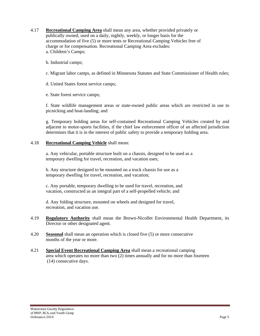- 4.17 **Recreational Camping Area** shall mean any area, whether provided privately or publically owned, used on a daily, nightly, weekly, or longer basis for the accommodation of five (5) or more tents or Recreational Camping Vehicles free of charge or for compensation. Recreational Camping Area excludes: a. Children's Camps;
	- b. Industrial camps;
	- c. Migrant labor camps, as defined in Minnesota Statutes and State Commissioner of Health rules;
	- d. United States forest service camps;
	- e. State forest service camps;

f. State wildlife management areas or state-owned public areas which are restricted in use to picnicking and boat-landing; and

g. Temporary holding areas for self-contained Recreational Camping Vehicles created by and adjacent to motor-sports facilities, if the chief law enforcement officer of an affected jurisdiction determines that it is in the interest of public safety to provide a temporary holding area.

## 4.18 **Recreational Camping Vehicle** shall mean:

a. Any vehicular, portable structure built on a chassis, designed to be used as a temporary dwelling for travel, recreation, and vacation uses;

b. Any structure designed to be mounted on a truck chassis for use as a temporary dwelling for travel, recreation, and vacation;

c. Any portable, temporary dwelling to be used for travel, recreation, and vacation, constructed as an integral part of a self-propelled vehicle; and

d. Any folding structure, mounted on wheels and designed for travel, recreation, and vacation use.

- 4.19 **Regulatory Authority** shall mean the Brown-Nicollet Environmental Health Department, its Director or other designated agent.
- 4.20 **Seasonal** shall mean an operation which is closed five (5) or more consecutive months of the year or more.
- 4.21 **Special Event Recreational Camping Area** shall mean a recreational camping area which operates no more than two (2) times annually and for no more than fourteen (14) consecutive days.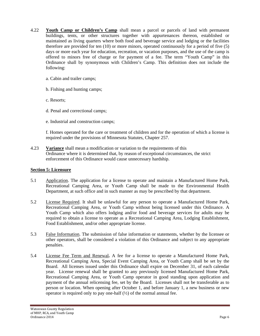- 4.22 **Youth Camp or Children's Camp** shall mean a parcel or parcels of land with permanent buildings, tents, or other structures together with appurtenances thereon, established or maintained as living quarters where both food and beverage service and lodging or the facilities therefore are provided for ten (10) or more minors, operated continuously for a period of five (5) days or more each year for education, recreation, or vacation purposes, and the use of the camp is offered to minors free of charge or for payment of a fee. The term "Youth Camp" in this Ordinance shall by synonymous with Children's Camp. This definition does not include the following:
	- a. Cabin and trailer camps;
	- b. Fishing and hunting camps;
	- c. Resorts;
	- d. Penal and correctional camps;
	- e. Industrial and construction camps;

 f. Homes operated for the care or treatment of children and for the operation of which a license is required under the provisions of Minnesota Statutes, Chapter 257.

4.23 **Variance** shall mean a modification or variation to the requirements of this Ordinance where it is determined that, by reason of exceptional circumstances, the strict enforcement of this Ordinance would cause unnecessary hardship.

## **Section 5: Licensure**

- 5.1 Application. The application for a license to operate and maintain a Manufactured Home Park, Recreational Camping Area, or Youth Camp shall be made to the Environmental Health Department, at such office and in such manner as may be prescribed by that department.
- 5.2 License Required. It shall be unlawful for any person to operate a Manufactured Home Park, Recreational Camping Area, or Youth Camp without being licensed under this Ordinance. A Youth Camp which also offers lodging and/or food and beverage services for adults may be required to obtain a license to operate as a Recreational Camping Area, Lodging Establishment, Food Establishment, and/or other appropriate license.
- 5.3 False Information. The submission of false information or statements, whether by the licensee or other operators, shall be considered a violation of this Ordinance and subject to any appropriate penalties.
- 5.4 License Fee Term and Renewal**.** A fee for a license to operate a Manufactured Home Park, Recreational Camping Area, Special Event Camping Area, or Youth Camp shall be set by the Board. All licenses issued under this Ordinance shall expire on December 31, of each calendar year. License renewal shall be granted to any previously licensed Manufactured Home Park, Recreational Camping Area, or Youth Camp operator in good standing upon application and payment of the annual relicensing fee, set by the Board. Licenses shall not be transferable as to person or location. When opening after October 1, and before January 1, a new business or new operator is required only to pay one-half  $(\frac{1}{2})$  of the normal annual fee.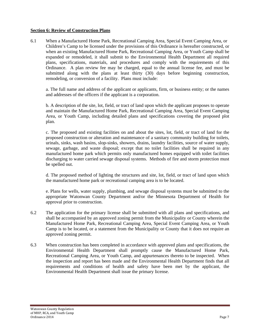## **Section 6: Review of Construction Plans**

6.1 When a Manufactured Home Park, Recreational Camping Area, Special Event Camping Area, or Children's Camp to be licensed under the provisions of this Ordinance is hereafter constructed, or when an existing Manufactured Home Park, Recreational Camping Area, or Youth Camp shall be expanded or remodeled, it shall submit to the Environmental Health Department all required plans, specifications, materials, and procedures and comply with the requirements of this Ordinance. A plan review fee may be charged, equal to the annual license fee, and must be submitted along with the plans at least thirty (30) days before beginning construction, remodeling, or conversion of a facility. Plans must include:

 a. The full name and address of the applicant or applicants, firm, or business entity; or the names and addresses of the officers if the applicant is a corporation.

 b. A description of the site, lot, field, or tract of land upon which the applicant proposes to operate and maintain the Manufactured Home Park, Recreational Camping Area, Special Event Camping Area, or Youth Camp, including detailed plans and specifications covering the proposed plot plan.

 c. The proposed and existing facilities on and about the sites, lot, field, or tract of land for the proposed construction or alteration and maintenance of a sanitary community building for toilets, urinals, sinks, wash basins, slop-sinks, showers, drains, laundry facilities, source of water supply, sewage, garbage, and waste disposal; except that no toilet facilities shall be required in any manufactured home park which permits only manufactured homes equipped with toilet facilities discharging to water carried sewage disposal systems. Methods of fire and storm protection must be spelled out.

 d. The proposed method of lighting the structures and site, lot, field, or tract of land upon which the manufactured home park or recreational camping area is to be located.

 e. Plans for wells, water supply, plumbing, and sewage disposal systems must be submitted to the appropriate Watonwan County Department and/or the Minnesota Department of Health for approval prior to construction.

- 6.2The application for the primary license shall be submitted with all plans and specifications, and shall be accompanied by an approved zoning permit from the Municipality or County wherein the Manufactured Home Park, Recreational Camping Area, Special Event Camping Area, or Youth Camp is to be located, or a statement from the Municipality or County that it does not require an approved zoning permit.
- 6.3 When construction has been completed in accordance with approved plans and specifications, the Environmental Health Department shall promptly cause the Manufactured Home Park, Recreational Camping Area, or Youth Camp, and appurtenances thereto to be inspected. When the inspection and report has been made and the Environmental Health Department finds that all requirements and conditions of health and safety have been met by the applicant, the Environmental Health Department shall issue the primary license.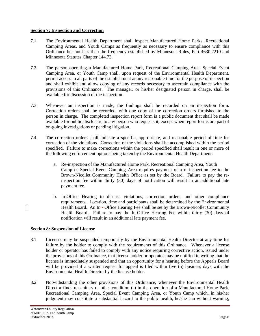## **Section 7: Inspection and Correction**

- 7.1 The Environmental Health Department shall inspect Manufactured Home Parks, Recreational Camping Areas, and Youth Camps as frequently as necessary to ensure compliance with this Ordinance but not less than the frequency established by Minnesota Rules, Part 4630.2210 and Minnesota Statutes Chapter 144.73.
- 7.2 The person operating a Manufactured Home Park, Recreational Camping Area, Special Event Camping Area, or Youth Camp shall, upon request of the Environmental Health Department, permit access to all parts of the establishment at any reasonable time for the purpose of inspection and shall exhibit and allow copying of any records necessary to ascertain compliance with the provisions of this Ordinance. The manager, or his/her designated person in charge, shall be available for discussion of the inspection.
- 7.3 Whenever an inspection is made, the findings shall be recorded on an inspection form. Correction orders shall be recorded, with one copy of the correction orders furnished to the person in charge. The completed inspection report form is a public document that shall be made available for public disclosure to any person who requests it, except when report forms are part of on-going investigations or pending litigation.
- 7.4 The correction orders shall indicate a specific, appropriate, and reasonable period of time for correction of the violations. Correction of the violations shall be accomplished within the period specified. Failure to make corrections within the period specified shall result in one or more of the following enforcement options being taken by the Environmental Health Department:
	- a. Re-inspection of the Manufactured Home Park, Recreational Camping Area, Youth Camp or Special Event Camping Area requires payment of a re-inspection fee to the Brown-Nicollet Community Health Office as set by the Board. Failure to pay the reinspection fee within thirty (30) days of notification will result in an additional late payment fee.
	- b. In-Office Hearing to discuss violations, correction orders, and other compliance requirements. Location, time and participants shall be determined by the Environmental Health Board. An In---Office Hearing Fee shall be set by the Brown-Nicollet Community Health Board. Failure to pay the In-Office Hearing Fee within thirty (30) days of notification will result in an additional late payment fee.

## **Section 8: Suspension of License**

- 8.1 Licenses may be suspended temporarily by the Environmental Health Director at any time for failure by the holder to comply with the requirements of this Ordinance. Whenever a license holder or operator has failed to comply with any notice requiring corrective action, issued under the provisions of this Ordinance, that license holder or operator may be notified in writing that the license is immediately suspended and that an opportunity for a hearing before the Appeals Board will be provided if a written request for appeal is filed within five (5) business days with the Environmental Health Director by the license holder.
- 8.2 Notwithstanding the other provisions of this Ordinance, whenever the Environmental Health Director finds unsanitary or other condition (s) in the operation of a Manufactured Home Park, Recreational Camping Area, Special Event Camping Area, or Youth Camp which, in his/her judgment may constitute a substantial hazard to the public health, he/she can without warning,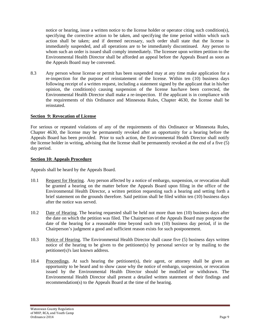notice or hearing, issue a written notice to the license holder or operator citing such condition(s), specifying the corrective action to be taken, and specifying the time period within which such action shall be taken; and if deemed necessary, such order shall state that the license is immediately suspended, and all operations are to be immediately discontinued. Any person to whom such an order is issued shall comply immediately. The licensee upon written petition to the Environmental Health Director shall be afforded an appeal before the Appeals Board as soon as the Appeals Board may be convened.

8.3 Any person whose license or permit has been suspended may at any time make application for a re-inspection for the purpose of reinstatement of the license. Within ten (10) business days following receipt of a written request, including a statement signed by the applicant that in his/her opinion, the condition(s) causing suspension of the license has/have been corrected, the Environmental Health Director shall make a re-inspection. If the applicant is in compliance with the requirements of this Ordinance and Minnesota Rules, Chapter 4630, the license shall be reinstated.

#### **Section 9: Revocation of License**

For serious or repeated violations of any of the requirements of this Ordinance or Minnesota Rules, Chapter 4630, the license may be permanently revoked after an opportunity for a hearing before the Appeals Board has been provided. Prior to such action, the Environmental Health Director shall notify the license holder in writing, advising that the license shall be permanently revoked at the end of a five (5) day period.

#### **Section 10: Appeals Procedure**

Appeals shall be heard by the Appeals Board.

- 10.1 Request for Hearing. Any person affected by a notice of embargo, suspension, or revocation shall be granted a hearing on the matter before the Appeals Board upon filing in the office of the Environmental Health Director, a written petition requesting such a hearing and setting forth a brief statement on the grounds therefore. Said petition shall be filed within ten (10) business days after the notice was served.
- 10.2 Date of Hearing. The hearing requested shall be held not more than ten (10) business days after the date on which the petition was filed. The Chairperson of the Appeals Board may postpone the date of the hearing for a reasonable time beyond such ten (10) business day period, if in the Chairperson's judgment a good and sufficient reason exists for such postponement.
- 10.3 Notice of Hearing. The Environmental Health Director shall cause five (5) business days written notice of the hearing to be given to the petitioner(s) by personal service or by mailing to the petitioner(s)'s last known address.
- 10.4 Proceedings. At such hearing the petitioner(s), their agent, or attorney shall be given an opportunity to be heard and to show cause why the notice of embargo, suspension, or revocation issued by the Environmental Health Director should be modified or withdrawn. The Environmental Health Director shall present a detailed written statement of their findings and recommendation(s) to the Appeals Board at the time of the hearing.